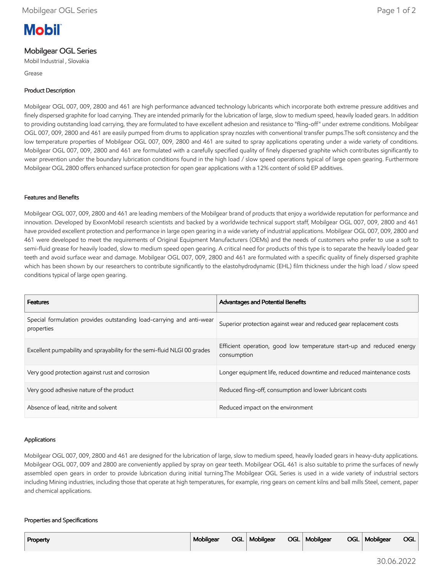# **Mobil**

# Mobilgear OGL Series

Mobil Industrial , Slovakia

Grease

### Product Description

Mobilgear OGL 007, 009, 2800 and 461 are high performance advanced technology lubricants which incorporate both extreme pressure additives and finely dispersed graphite for load carrying. They are intended primarily for the lubrication of large, slow to medium speed, heavily loaded gears. In addition to providing outstanding load carrying, they are formulated to have excellent adhesion and resistance to "fling-off" under extreme conditions. Mobilgear OGL 007, 009, 2800 and 461 are easily pumped from drums to application spray nozzles with conventional transfer pumps.The soft consistency and the low temperature properties of Mobilgear OGL 007, 009, 2800 and 461 are suited to spray applications operating under a wide variety of conditions. Mobilgear OGL 007, 009, 2800 and 461 are formulated with a carefully specified quality of finely dispersed graphite which contributes significantly to wear prevention under the boundary lubrication conditions found in the high load / slow speed operations typical of large open gearing. Furthermore Mobilgear OGL 2800 offers enhanced surface protection for open gear applications with a 12% content of solid EP additives.

#### Features and Benefits

Mobilgear OGL 007, 009, 2800 and 461 are leading members of the Mobilgear brand of products that enjoy a worldwide reputation for performance and innovation. Developed by ExxonMobil research scientists and backed by a worldwide technical support staff, Mobilgear OGL 007, 009, 2800 and 461 have provided excellent protection and performance in large open gearing in a wide variety of industrial applications. Mobilgear OGL 007, 009, 2800 and 461 were developed to meet the requirements of Original Equipment Manufacturers (OEMs) and the needs of customers who prefer to use a soft to semi-fluid grease for heavily loaded, slow to medium speed open gearing. A critical need for products of this type is to separate the heavily loaded gear teeth and avoid surface wear and damage. Mobilgear OGL 007, 009, 2800 and 461 are formulated with a specific quality of finely dispersed graphite which has been shown by our researchers to contribute significantly to the elastohydrodynamic (EHL) film thickness under the high load / slow speed conditions typical of large open gearing.

| <b>Features</b>                                                                    | <b>Advantages and Potential Benefits</b>                                             |
|------------------------------------------------------------------------------------|--------------------------------------------------------------------------------------|
| Special formulation provides outstanding load-carrying and anti-wear<br>properties | Superior protection against wear and reduced gear replacement costs                  |
| Excellent pumpability and sprayability for the semi-fluid NLGI 00 grades           | Efficient operation, good low temperature start-up and reduced energy<br>consumption |
| Very good protection against rust and corrosion                                    | Longer equipment life, reduced downtime and reduced maintenance costs                |
| Very good adhesive nature of the product                                           | Reduced fling-off, consumption and lower lubricant costs                             |
| Absence of lead, nitrite and solvent                                               | Reduced impact on the environment                                                    |

#### Applications

Mobilgear OGL 007, 009, 2800 and 461 are designed for the lubrication of large, slow to medium speed, heavily loaded gears in heavy-duty applications. Mobilgear OGL 007, 009 and 2800 are conveniently applied by spray on gear teeth. Mobilgear OGL 461 is also suitable to prime the surfaces of newly assembled open gears in order to provide lubrication during initial turning.The Mobilgear OGL Series is used in a wide variety of industrial sectors including Mining industries, including those that operate at high temperatures, for example, ring gears on cement kilns and ball mills Steel, cement, paper and chemical applications.

#### Properties and Specifications

| Property | Mobilgear |  | OGL   Mobilgear |  | OGL   Mobilgear |  | OGL   Mobilgear | <b>OGL</b> |
|----------|-----------|--|-----------------|--|-----------------|--|-----------------|------------|
|----------|-----------|--|-----------------|--|-----------------|--|-----------------|------------|